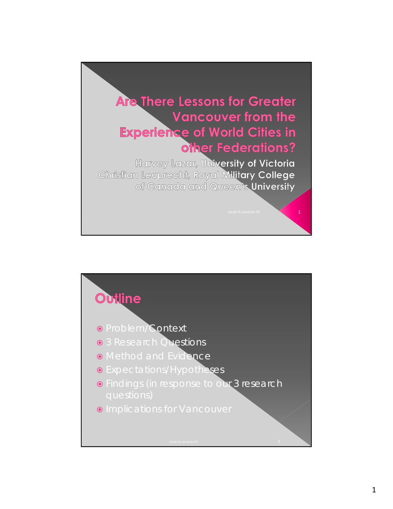

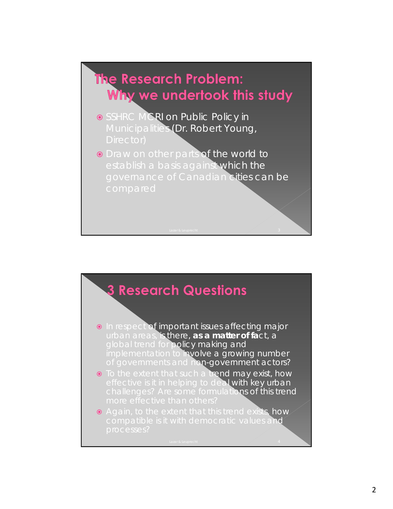# The Research Problem: Why we undertook this study

- SSHRC MCRI on Public Policy in Municipalities (Dr. Robert Young,
- **O** Draw on other parts of the world to establish a basis against which the governance of Canadian cities can be



- **o** In respect of important issues affecting major urban areas, is there, *as a matter of fact*, a global trend for policy making and implementation to **involve a growing number** of governments and non-government actors?
- **•** To the extent that such a trend may exist, how effective is it in helping to deal with key urban challenges? Are some formulations of this trend
- Again, to the extent that this trend exists, how compatible is it with democratic values and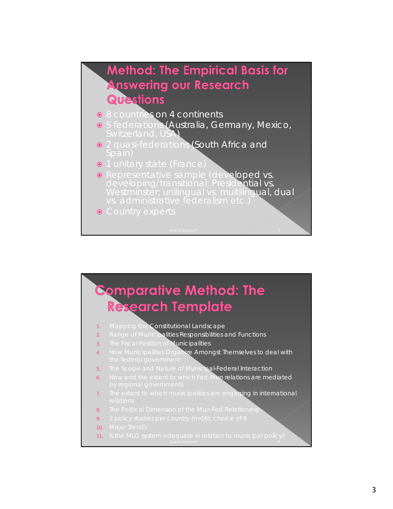### **Method: The Empirical Basis for Answering our Research** Questions

- 8 countries on 4 continents
- 5 federations (Australia, Germany, Mexico, Switzerland, USA)
- **•** 2 quasi-federations (South Africa and
- $\bullet$  1 unitary state (France)
- **•** Representative sample (developed vs. developing/transitional; Presidential vs. Westminster; unilingual vs. multilingual, dual
- Country experts

## **Comparative Method: The Research Template**

- 1. Mapping the Constitutional Landscape
- 2. Range of Municipalities Responsibilities and Functions
- 3. The Fiscal Position of Municipalities
- How Municipalities Organize Amongst Themselves to deal with
- 5. The Scope and Nature of Municipal-Federal Interaction
- 6. How and the extent to which Fed-Mun relations are mediated
- The extent to which municipalities are engaging in international
- The Political Dimension of the Mun-Fed Relationship
- 9. 2 policy studies per country (n=16); choice of 6
- 10. Major Trends
- 11. Is the MLG system adequate in relation to municipal policy?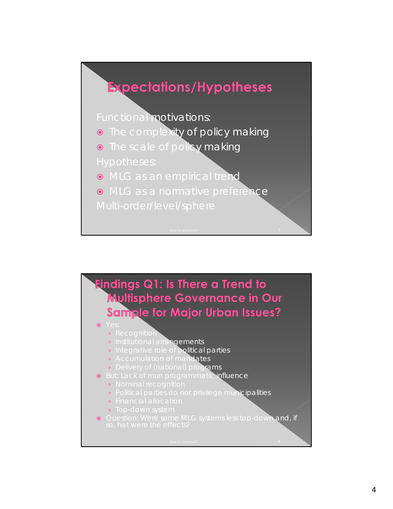

Functional motivations:

- **•** The complexity of policy making
- **•** The scale of policy making
- 
- MLG as an empirical trend
- MLG as a normative preference
- 



#### $\bullet$  Yes

- › Recognition
- › Institutional arrangements
- **Integrative role of political parties**
- › Accumulation of mandates
- › Delivery of (national) programs
- **.** But: Lack of mun programmatic influence
	- › Nominal recognition
	- › Political parties do not privilege municipalities
	- › Financial allocation
	- › Top-down system
- Question: Were some MLG systems less top-down and, if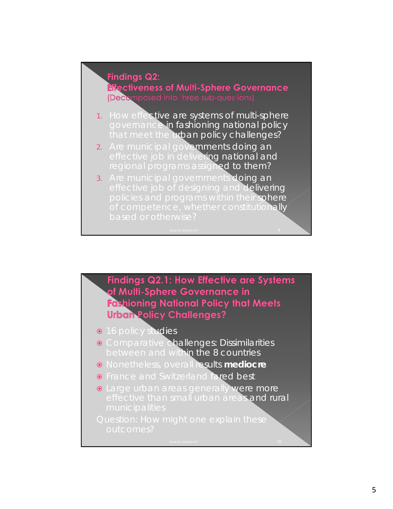### **Findings Q2:**

**Effectiveness of Multi-Sphere Governance** *(Decorr* 

- 1. How effective are systems of multi-sphere governance in fashioning national policy that meet the urban policy challenges?
- 2. Are municipal governments doing an effective job in delivering national and regional programs assigned to them?
- 3. Are municipal governments doing an effective job of designing and delivering policies and programs within their sphere of competence, whether constitutionally

Findings Q2.1: How Effective are Systems of Multi-Sphere Governance in **Fashioning National Policy that Meets Urban Policy Challenges?** 

- 16 policy studies
- Comparative challenges: Dissimilarities between and within the 8 countries
- Nonetheless, overall results **mediocre**
- **•** France and Switzerland fared best
- **.** Large urban areas generally were more effective than small urban areas and rural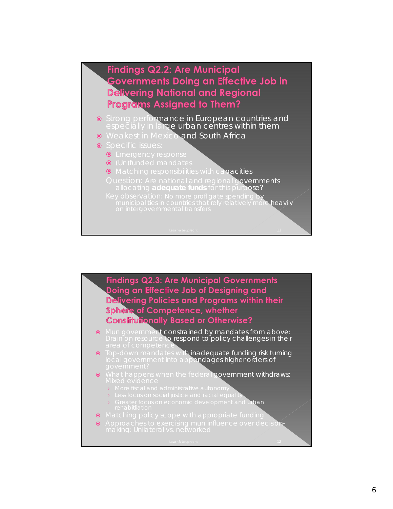

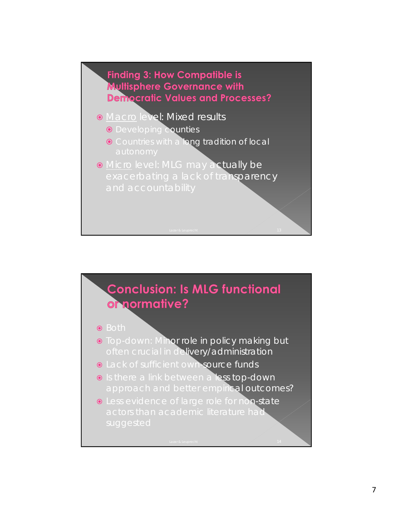

- **Macro level: Mixed results** 
	- **O** Developing **counties**
	- **O** Countries with a **long tradition of local**
- **.** Micro level: MLG may actually be exacerbating a lack of transparency



- Both
- **.** Top-down: Minor role in policy making but often crucial in delivery/administration
- **.** Lack of sufficient own source funds
- **o** Is there a link between a less top-down approach and better empirical outcomes?
- $\bullet$  Less evidence of large role for non-state actors than academic literature had